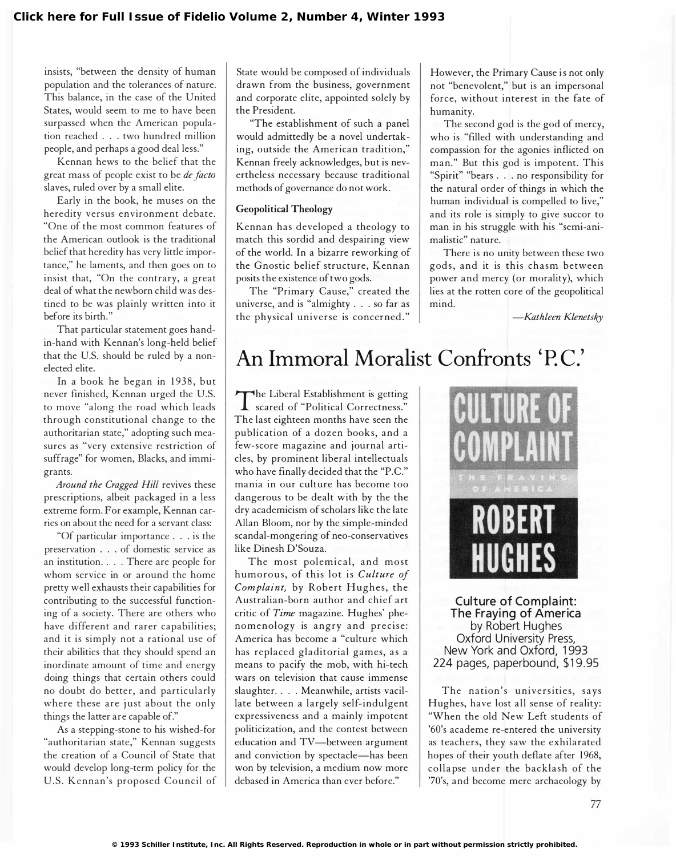insists, "between the density of human population and the tolerances of nature. This balance, in the case of the United States, would seem to me to have been surpassed when the American population reached ... two hundred million people, and perhaps a good deal less."

Kennan hews to the belief that the great mass of people exist to be de facto slaves, ruled over by a small elite.

Early in the book, he muses on the heredity versus environment debate. "One of the most common features of the American outlook is the traditional belief that heredity has very little importance," he laments, and then goes on to insist that, "On the contrary, a great deal of what the newborn child was destined to be was plainly written into it before its birth."

That particular statement goes handin-hand with Kennan's long-held belief that the U.S. should be ruled by a nonelected elite.

In a book he began in 1938, but never finished, Kennan urged the U.S. to move "along the road which leads through constitutional change to the authoritarian state," adopting such measures as "very extensive restriction of suffrage" for women, Blacks, and immigrants.

Around the Cragged Hill revives these prescriptions, albeit packaged in a less extreme form. For example, Kennan carries on about the need for a servant class:

"Of particular importance ... is the preservation . . . of domestic service as an institution. . . . There are people for whom service in or around the home pretty well exhausts their capabilities for contributing to the successful functioning of a society. There are others who have different and rarer capabilities; and it is simply not a rational use of their abilities that they should spend an inordinate amount of time and energy doing things that certain others could no doubt do better, and particularly where these are just about the only things the latter are capable of."

As a stepping-stone to his wished-for "authoritarian state," Kennan suggests the creation of a Council of State that would develop long-term policy for the U.S. Kennan's proposed Council of

State would be composed of individuals drawn from the business, government and corporate elite, appointed solely by the President.

"The establishment of such a panel would admittedly be a novel undertaking, outside the American tradition," Kennan freely acknowledges, but is nevertheless necessary because traditional methods of governance do not work.

## Geopolitical Theology

Kennan has developed a theology to match this sordid and despairing view of the world. In a bizarre reworking of the Gnostic belief structure, Kennan posits the existence of two gods.

The "Primary Cause," created the universe, and is "almighty ... so far as the physical universe is concerned ."

However, the Primary Cause is not only not "benevolent," but is an impersonal force, without interest in the fate of humanity.

The second god is the god of mercy, who is "filled with understanding and compassion for the agonies inflicted on man." But this god is impotent. This "Spirit" "bears ... no responsibility for the natural order of things in which the human individual is compelled to live," and its role is simply to give succor to man in his struggle with his "semi-animalistic" nature.

There is no unity between these two gods, and it is this chasm between power and mercy (or morality), which lies at the rotten core of the geopolitical mind.

-Kathleen Klenetsky

## An Immoral Moralist Confronts 'P.C.'

The Liberal Establishment is getting<br>Scared of "Political Correctness." scared of "Political Correctness." The last eighteen months have seen the publication of a dozen books, and a few-score magazine and journal articles, by prominent liberal intellectuals who have finally decided that the "P.C." mania in our culture has become too dangerous to be dealt with by the the dry academicism of scholars like the late Allan Bloom, nor by the simple-minded scandal-mongering of neo-conservatives like Dinesh D'Souza.

The most polemical, and most humorous, of this lot is Culture of Complaint, by Robert Hughes, the Australian-born author and chief art critic of Time magazine. Hughes' phenomenology is angry and precise: America has become a "culture which has replaced gladitorial games, as a means to pacify the mob, with hi-tech wars on television that cause immense slaughter. ... Meanwhile, artists vacillate between a largely self-indulgent expressiveness and a mainly impotent politicization, and the contest between education and TV-between argument and conviction by spectacle-has been won by television, a medium now more debased in America than ever before."



Culture of Complaint: The Fraying of America by Robert Hughes Oxford University Press, New York and Oxford, 1993 224 pages, paperbound, \$19.95

The nation's universities, says Hughes, have lost all sense of reality: "When the old New Left students of '60's academe re-entered the university as teachers, they saw the exhilarated hopes of their youth deflate after 1968, colla pse under the backlash of the '70's, and become mere archaeology by